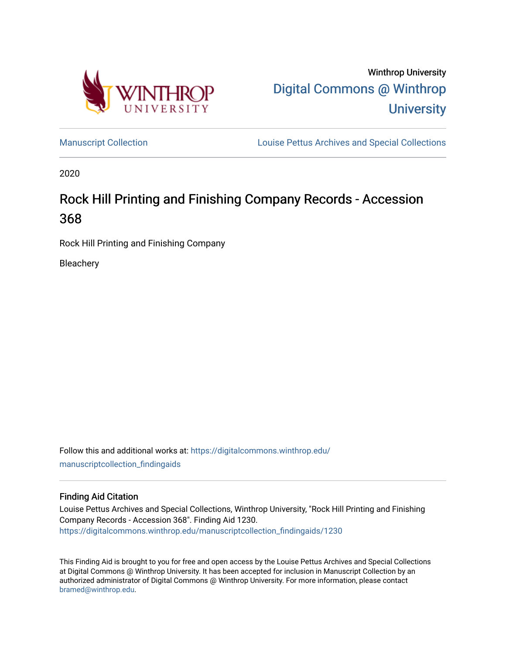

Winthrop University [Digital Commons @ Winthrop](https://digitalcommons.winthrop.edu/)  **University** 

[Manuscript Collection](https://digitalcommons.winthrop.edu/manuscriptcollection_findingaids) **Louise Pettus Archives and Special Collections** 

2020

# Rock Hill Printing and Finishing Company Records - Accession 368

Rock Hill Printing and Finishing Company

**Bleachery** 

Follow this and additional works at: [https://digitalcommons.winthrop.edu/](https://digitalcommons.winthrop.edu/manuscriptcollection_findingaids?utm_source=digitalcommons.winthrop.edu%2Fmanuscriptcollection_findingaids%2F1230&utm_medium=PDF&utm_campaign=PDFCoverPages) [manuscriptcollection\\_findingaids](https://digitalcommons.winthrop.edu/manuscriptcollection_findingaids?utm_source=digitalcommons.winthrop.edu%2Fmanuscriptcollection_findingaids%2F1230&utm_medium=PDF&utm_campaign=PDFCoverPages) 

#### Finding Aid Citation

Louise Pettus Archives and Special Collections, Winthrop University, "Rock Hill Printing and Finishing Company Records - Accession 368". Finding Aid 1230. [https://digitalcommons.winthrop.edu/manuscriptcollection\\_findingaids/1230](https://digitalcommons.winthrop.edu/manuscriptcollection_findingaids/1230?utm_source=digitalcommons.winthrop.edu%2Fmanuscriptcollection_findingaids%2F1230&utm_medium=PDF&utm_campaign=PDFCoverPages) 

This Finding Aid is brought to you for free and open access by the Louise Pettus Archives and Special Collections at Digital Commons @ Winthrop University. It has been accepted for inclusion in Manuscript Collection by an authorized administrator of Digital Commons @ Winthrop University. For more information, please contact [bramed@winthrop.edu.](mailto:bramed@winthrop.edu)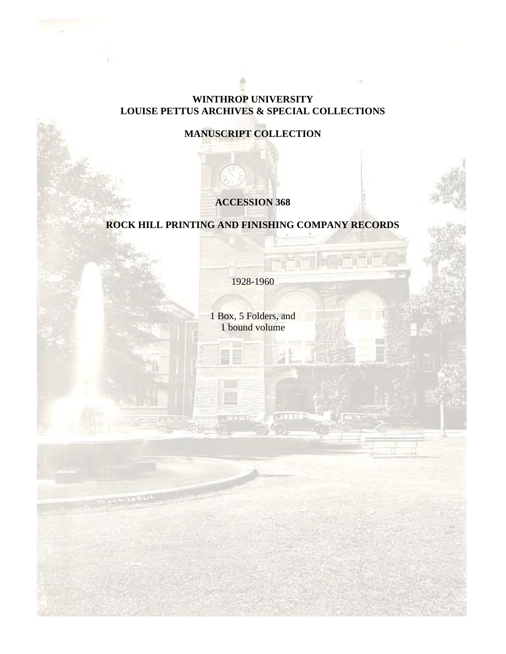### **WINTHROP UNIVERSITY LOUISE PETTUS ARCHIVES & SPECIAL COLLECTIONS**

# **MANUSCRIPT COLLECTION**

# **ACCESSION 368**

# **ROCK HILL PRINTING AND FINISHING COMPANY RECORDS**

1928-1960

1 Box, 5 Folders, and 1 bound volume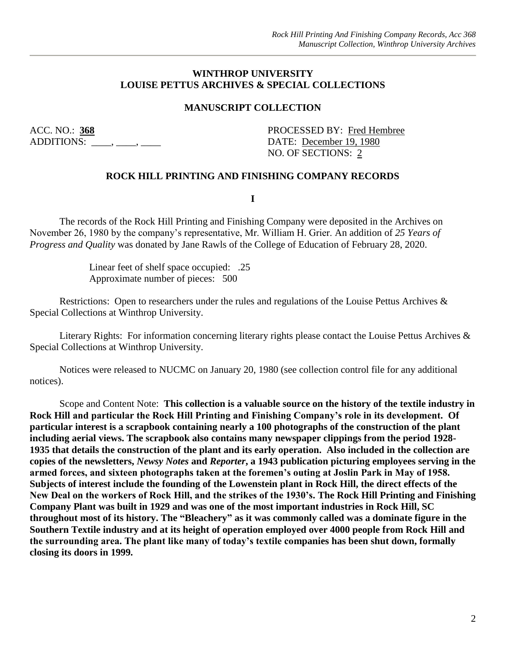#### **WINTHROP UNIVERSITY LOUISE PETTUS ARCHIVES & SPECIAL COLLECTIONS**

#### **MANUSCRIPT COLLECTION**

ADDITIONS:  $\qquad \qquad$  .

ACC. NO.: 368 PROCESSED BY: Fred Hembree NO. OF SECTIONS: 2

#### **ROCK HILL PRINTING AND FINISHING COMPANY RECORDS**

**I**

The records of the Rock Hill Printing and Finishing Company were deposited in the Archives on November 26, 1980 by the company's representative, Mr. William H. Grier. An addition of *25 Years of Progress and Quality* was donated by Jane Rawls of the College of Education of February 28, 2020.

> Linear feet of shelf space occupied: .25 Approximate number of pieces: 500

Restrictions: Open to researchers under the rules and regulations of the Louise Pettus Archives & Special Collections at Winthrop University.

Literary Rights: For information concerning literary rights please contact the Louise Pettus Archives & Special Collections at Winthrop University.

Notices were released to NUCMC on January 20, 1980 (see collection control file for any additional notices).

Scope and Content Note: **This collection is a valuable source on the history of the textile industry in Rock Hill and particular the Rock Hill Printing and Finishing Company's role in its development. Of particular interest is a scrapbook containing nearly a 100 photographs of the construction of the plant including aerial views. The scrapbook also contains many newspaper clippings from the period 1928- 1935 that details the construction of the plant and its early operation. Also included in the collection are copies of the newsletters,** *Newsy Notes* **and** *Reporter***, a 1943 publication picturing employees serving in the armed forces, and sixteen photographs taken at the foremen's outing at Joslin Park in May of 1958. Subjects of interest include the founding of the Lowenstein plant in Rock Hill, the direct effects of the New Deal on the workers of Rock Hill, and the strikes of the 1930's. The Rock Hill Printing and Finishing Company Plant was built in 1929 and was one of the most important industries in Rock Hill, SC throughout most of its history. The "Bleachery" as it was commonly called was a dominate figure in the Southern Textile industry and at its height of operation employed over 4000 people from Rock Hill and the surrounding area. The plant like many of today's textile companies has been shut down, formally closing its doors in 1999.**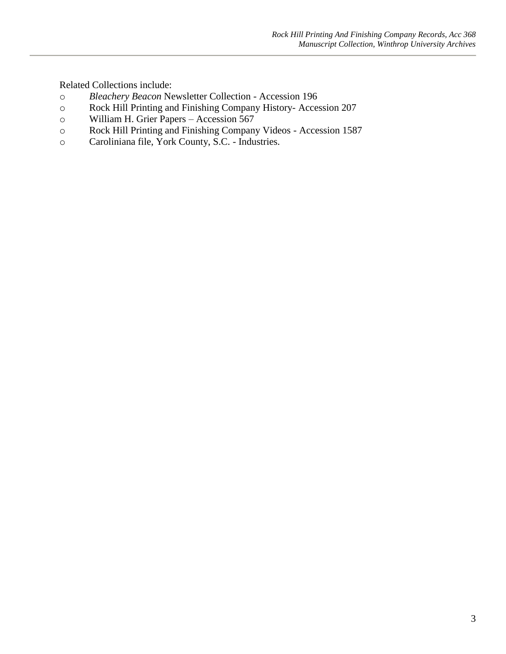Related Collections include:

- o *Bleachery Beacon* Newsletter Collection Accession 196
- o Rock Hill Printing and Finishing Company History- Accession 207
- o William H. Grier Papers Accession 567
- o Rock Hill Printing and Finishing Company Videos Accession 1587
- o Caroliniana file, York County, S.C. Industries.